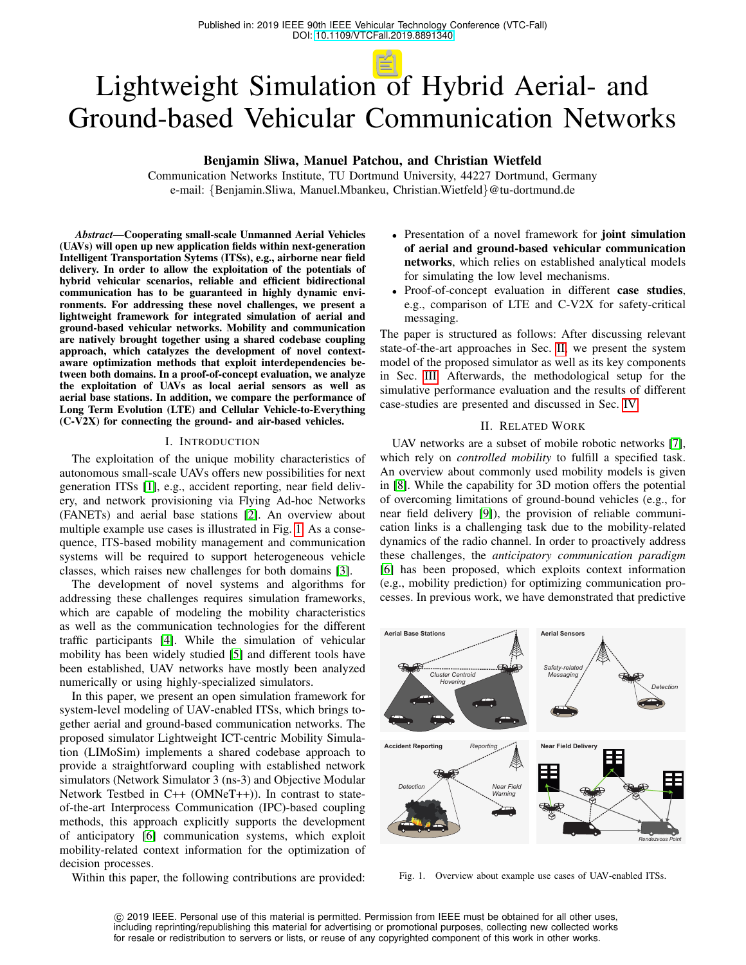# Lightweight Simulation of Hybrid Aerial- and Ground-based Vehicular Communication Networks

# Benjamin Sliwa, Manuel Patchou, and Christian Wietfeld

Communication Networks Institute, TU Dortmund University, 44227 Dortmund, Germany e-mail: {Benjamin.Sliwa, Manuel.Mbankeu, Christian.Wietfeld}@tu-dortmund.de

*Abstract*—Cooperating small-scale Unmanned Aerial Vehicles (UAVs) will open up new application fields within next-generation Intelligent Transportation Sytems (ITSs), e.g., airborne near field delivery. In order to allow the exploitation of the potentials of hybrid vehicular scenarios, reliable and efficient bidirectional communication has to be guaranteed in highly dynamic environments. For addressing these novel challenges, we present a lightweight framework for integrated simulation of aerial and ground-based vehicular networks. Mobility and communication are natively brought together using a shared codebase coupling approach, which catalyzes the development of novel contextaware optimization methods that exploit interdependencies between both domains. In a proof-of-concept evaluation, we analyze the exploitation of UAVs as local aerial sensors as well as aerial base stations. In addition, we compare the performance of Long Term Evolution (LTE) and Cellular Vehicle-to-Everything (C-V2X) for connecting the ground- and air-based vehicles.

# I. INTRODUCTION

The exploitation of the unique mobility characteristics of autonomous small-scale UAVs offers new possibilities for next generation ITSs [\[1\]](#page-5-0), e.g., accident reporting, near field delivery, and network provisioning via Flying Ad-hoc Networks (FANETs) and aerial base stations [\[2\]](#page-6-0). An overview about multiple example use cases is illustrated in Fig. [1.](#page-0-0) As a consequence, ITS-based mobility management and communication systems will be required to support heterogeneous vehicle classes, which raises new challenges for both domains [\[3\]](#page-6-1).

The development of novel systems and algorithms for addressing these challenges requires simulation frameworks, which are capable of modeling the mobility characteristics as well as the communication technologies for the different traffic participants [\[4\]](#page-6-2). While the simulation of vehicular mobility has been widely studied [\[5\]](#page-6-3) and different tools have been established, UAV networks have mostly been analyzed numerically or using highly-specialized simulators.

In this paper, we present an open simulation framework for system-level modeling of UAV-enabled ITSs, which brings together aerial and ground-based communication networks. The proposed simulator Lightweight ICT-centric Mobility Simulation (LIMoSim) implements a shared codebase approach to provide a straightforward coupling with established network simulators (Network Simulator 3 (ns-3) and Objective Modular Network Testbed in C++ (OMNeT++)). In contrast to stateof-the-art Interprocess Communication (IPC)-based coupling methods, this approach explicitly supports the development of anticipatory [\[6\]](#page-6-4) communication systems, which exploit mobility-related context information for the optimization of decision processes.

Within this paper, the following contributions are provided:

- Presentation of a novel framework for joint simulation of aerial and ground-based vehicular communication networks, which relies on established analytical models for simulating the low level mechanisms.
- Proof-of-concept evaluation in different case studies, e.g., comparison of LTE and C-V2X for safety-critical messaging.

The paper is structured as follows: After discussing relevant state-of-the-art approaches in Sec. [II,](#page-0-1) we present the system model of the proposed simulator as well as its key components in Sec. [III.](#page-1-0) Afterwards, the methodological setup for the simulative performance evaluation and the results of different case-studies are presented and discussed in Sec. [IV.](#page-4-0)

# II. RELATED WORK

<span id="page-0-1"></span>UAV networks are a subset of mobile robotic networks [\[7\]](#page-6-5), which rely on *controlled mobility* to fulfill a specified task. An overview about commonly used mobility models is given in [\[8\]](#page-6-6). While the capability for 3D motion offers the potential of overcoming limitations of ground-bound vehicles (e.g., for near field delivery [\[9\]](#page-6-7)), the provision of reliable communication links is a challenging task due to the mobility-related dynamics of the radio channel. In order to proactively address these challenges, the *anticipatory communication paradigm* [\[6\]](#page-6-4) has been proposed, which exploits context information (e.g., mobility prediction) for optimizing communication processes. In previous work, we have demonstrated that predictive



<span id="page-0-0"></span>Fig. 1. Overview about example use cases of UAV-enabled ITSs.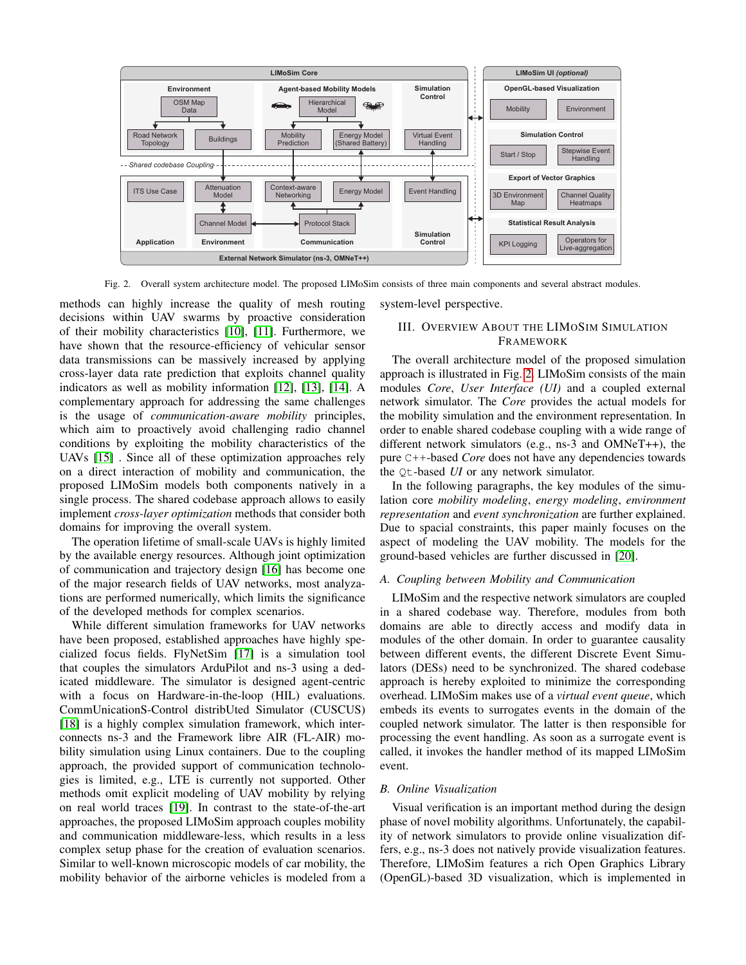

Fig. 2. Overall system architecture model. The proposed LIMoSim consists of three main components and several abstract modules.

methods can highly increase the quality of mesh routing decisions within UAV swarms by proactive consideration of their mobility characteristics [\[10\]](#page-6-8), [\[11\]](#page-6-9). Furthermore, we have shown that the resource-efficiency of vehicular sensor data transmissions can be massively increased by applying cross-layer data rate prediction that exploits channel quality indicators as well as mobility information [\[12\]](#page-6-10), [\[13\]](#page-6-11), [\[14\]](#page-6-12). A complementary approach for addressing the same challenges is the usage of *communication-aware mobility* principles, which aim to proactively avoid challenging radio channel conditions by exploiting the mobility characteristics of the UAVs [\[15\]](#page-6-13) . Since all of these optimization approaches rely on a direct interaction of mobility and communication, the proposed LIMoSim models both components natively in a single process. The shared codebase approach allows to easily implement *cross-layer optimization* methods that consider both domains for improving the overall system.

The operation lifetime of small-scale UAVs is highly limited by the available energy resources. Although joint optimization of communication and trajectory design [\[16\]](#page-6-14) has become one of the major research fields of UAV networks, most analyzations are performed numerically, which limits the significance of the developed methods for complex scenarios.

While different simulation frameworks for UAV networks have been proposed, established approaches have highly specialized focus fields. FlyNetSim [\[17\]](#page-6-15) is a simulation tool that couples the simulators ArduPilot and ns-3 using a dedicated middleware. The simulator is designed agent-centric with a focus on Hardware-in-the-loop (HIL) evaluations. CommUnicationS-Control distribUted Simulator (CUSCUS) [\[18\]](#page-6-16) is a highly complex simulation framework, which interconnects ns-3 and the Framework libre AIR (FL-AIR) mobility simulation using Linux containers. Due to the coupling approach, the provided support of communication technologies is limited, e.g., LTE is currently not supported. Other methods omit explicit modeling of UAV mobility by relying on real world traces [\[19\]](#page-6-17). In contrast to the state-of-the-art approaches, the proposed LIMoSim approach couples mobility and communication middleware-less, which results in a less complex setup phase for the creation of evaluation scenarios. Similar to well-known microscopic models of car mobility, the mobility behavior of the airborne vehicles is modeled from a

system-level perspective.

# <span id="page-1-1"></span><span id="page-1-0"></span>III. OVERVIEW ABOUT THE LIMOSIM SIMULATION FRAMEWORK

The overall architecture model of the proposed simulation approach is illustrated in Fig. [2.](#page-1-1) LIMoSim consists of the main modules *Core*, *User Interface (UI)* and a coupled external network simulator. The *Core* provides the actual models for the mobility simulation and the environment representation. In order to enable shared codebase coupling with a wide range of different network simulators (e.g., ns-3 and OMNeT++), the pure C++-based *Core* does not have any dependencies towards the Qt-based *UI* or any network simulator.

In the following paragraphs, the key modules of the simulation core *mobility modeling*, *energy modeling*, *environment representation* and *event synchronization* are further explained. Due to spacial constraints, this paper mainly focuses on the aspect of modeling the UAV mobility. The models for the ground-based vehicles are further discussed in [\[20\]](#page-6-18).

# *A. Coupling between Mobility and Communication*

LIMoSim and the respective network simulators are coupled in a shared codebase way. Therefore, modules from both domains are able to directly access and modify data in modules of the other domain. In order to guarantee causality between different events, the different Discrete Event Simulators (DESs) need to be synchronized. The shared codebase approach is hereby exploited to minimize the corresponding overhead. LIMoSim makes use of a *virtual event queue*, which embeds its events to surrogates events in the domain of the coupled network simulator. The latter is then responsible for processing the event handling. As soon as a surrogate event is called, it invokes the handler method of its mapped LIMoSim event.

# *B. Online Visualization*

Visual verification is an important method during the design phase of novel mobility algorithms. Unfortunately, the capability of network simulators to provide online visualization differs, e.g., ns-3 does not natively provide visualization features. Therefore, LIMoSim features a rich Open Graphics Library (OpenGL)-based 3D visualization, which is implemented in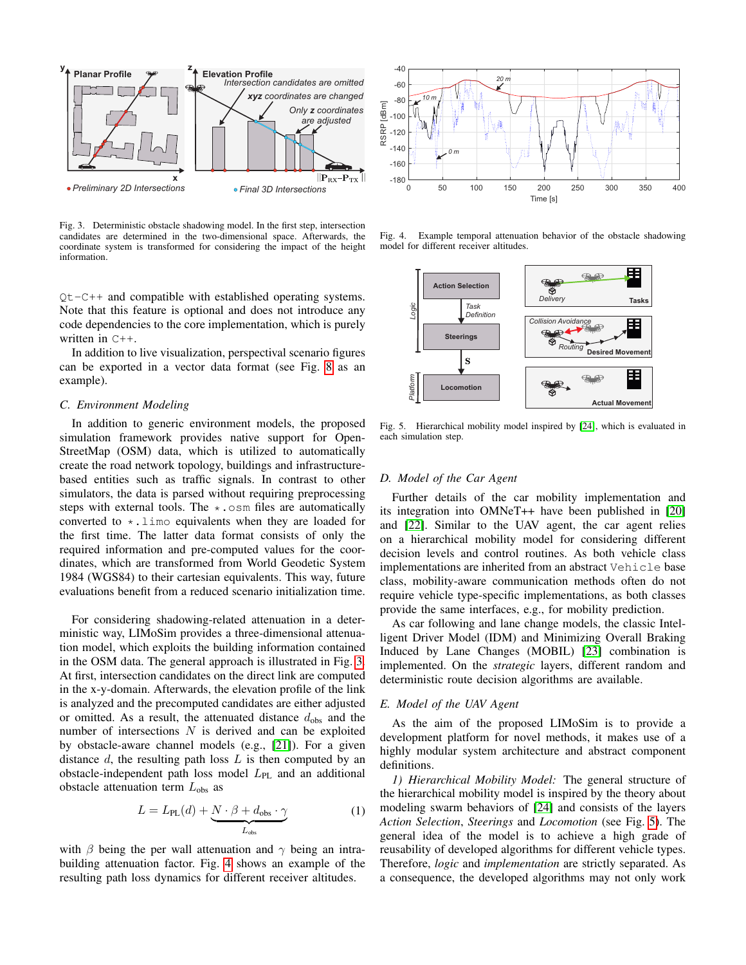

<span id="page-2-0"></span>Fig. 3. Deterministic obstacle shadowing model. In the first step, intersection candidates are determined in the two-dimensional space. Afterwards, the coordinate system is transformed for considering the impact of the height information.

Qt-C++ and compatible with established operating systems. Note that this feature is optional and does not introduce any code dependencies to the core implementation, which is purely written in C++.

In addition to live visualization, perspectival scenario figures can be exported in a vector data format (see Fig. [8](#page-4-1) as an example).

### *C. Environment Modeling*

In addition to generic environment models, the proposed simulation framework provides native support for Open-StreetMap (OSM) data, which is utilized to automatically create the road network topology, buildings and infrastructurebased entities such as traffic signals. In contrast to other simulators, the data is parsed without requiring preprocessing steps with external tools. The  $\star$  osm files are automatically converted to  $\star$ . Limo equivalents when they are loaded for the first time. The latter data format consists of only the required information and pre-computed values for the coordinates, which are transformed from World Geodetic System 1984 (WGS84) to their cartesian equivalents. This way, future evaluations benefit from a reduced scenario initialization time.

For considering shadowing-related attenuation in a deterministic way, LIMoSim provides a three-dimensional attenuation model, which exploits the building information contained in the OSM data. The general approach is illustrated in Fig. [3.](#page-2-0) At first, intersection candidates on the direct link are computed in the x-y-domain. Afterwards, the elevation profile of the link is analyzed and the precomputed candidates are either adjusted or omitted. As a result, the attenuated distance  $d_{obs}$  and the number of intersections  $N$  is derived and can be exploited by obstacle-aware channel models (e.g., [\[21\]](#page-6-19)). For a given distance  $d$ , the resulting path loss  $L$  is then computed by an obstacle-independent path loss model  $L_{PL}$  and an additional obstacle attenuation term  $L_{obs}$  as

$$
L = L_{\rm PL}(d) + \underbrace{N \cdot \beta + d_{\rm obs} \cdot \gamma}_{L_{\rm obs}} \tag{1}
$$

with  $\beta$  being the per wall attenuation and  $\gamma$  being an intrabuilding attenuation factor. Fig. [4](#page-2-1) shows an example of the resulting path loss dynamics for different receiver altitudes.



Fig. 4. Example temporal attenuation behavior of the obstacle shadowing model for different receiver altitudes.

<span id="page-2-1"></span>

<span id="page-2-2"></span>Fig. 5. Hierarchical mobility model inspired by [\[24\]](#page-6-20), which is evaluated in each simulation step.

#### *D. Model of the Car Agent*

Further details of the car mobility implementation and its integration into OMNeT++ have been published in [\[20\]](#page-6-18) and [\[22\]](#page-6-21). Similar to the UAV agent, the car agent relies on a hierarchical mobility model for considering different decision levels and control routines. As both vehicle class implementations are inherited from an abstract Vehicle base class, mobility-aware communication methods often do not require vehicle type-specific implementations, as both classes provide the same interfaces, e.g., for mobility prediction.

As car following and lane change models, the classic Intelligent Driver Model (IDM) and Minimizing Overall Braking Induced by Lane Changes (MOBIL) [\[23\]](#page-6-22) combination is implemented. On the *strategic* layers, different random and deterministic route decision algorithms are available.

# *E. Model of the UAV Agent*

As the aim of the proposed LIMoSim is to provide a development platform for novel methods, it makes use of a highly modular system architecture and abstract component definitions.

*1) Hierarchical Mobility Model:* The general structure of the hierarchical mobility model is inspired by the theory about modeling swarm behaviors of [\[24\]](#page-6-20) and consists of the layers *Action Selection*, *Steerings* and *Locomotion* (see Fig. [5\)](#page-2-2). The general idea of the model is to achieve a high grade of reusability of developed algorithms for different vehicle types. Therefore, *logic* and *implementation* are strictly separated. As a consequence, the developed algorithms may not only work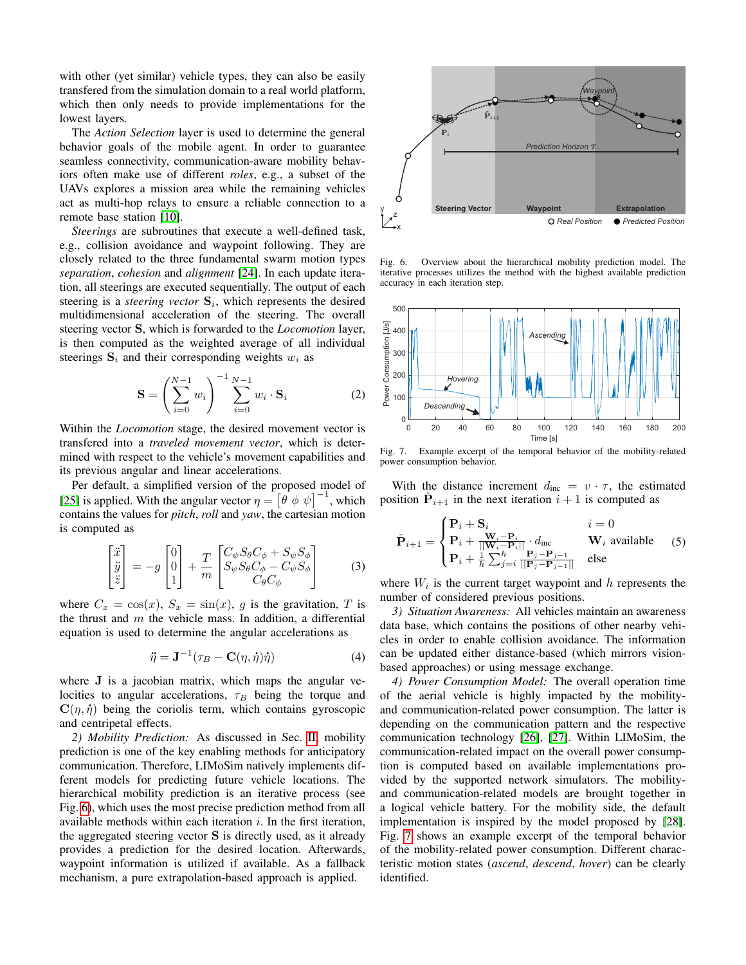with other (yet similar) vehicle types, they can also be easily transfered from the simulation domain to a real world platform, which then only needs to provide implementations for the lowest layers.

The *Action Selection* layer is used to determine the general behavior goals of the mobile agent. In order to guarantee seamless connectivity, communication-aware mobility behaviors often make use of different *roles*, e.g., a subset of the UAVs explores a mission area while the remaining vehicles act as multi-hop relays to ensure a reliable connection to a remote base station [\[10\]](#page-6-8).

*Steerings* are subroutines that execute a well-defined task, e.g., collision avoidance and waypoint following. They are closely related to the three fundamental swarm motion types *separation*, *cohesion* and *alignment* [\[24\]](#page-6-20). In each update iteration, all steerings are executed sequentially. The output of each steering is a *steering vector*  $S_i$ , which represents the desired multidimensional acceleration of the steering. The overall steering vector S, which is forwarded to the *Locomotion* layer, is then computed as the weighted average of all individual steerings  $S_i$  and their corresponding weights  $w_i$  as

$$
\mathbf{S} = \left(\sum_{i=0}^{N-1} w_i\right)^{-1} \sum_{i=0}^{N-1} w_i \cdot \mathbf{S}_i
$$
 (2)

Within the *Locomotion* stage, the desired movement vector is transfered into a *traveled movement vector*, which is determined with respect to the vehicle's movement capabilities and its previous angular and linear accelerations.

Per default, a simplified version of the proposed model of [\[25\]](#page-6-23) is applied. With the angular vector  $\eta = [\theta \phi \psi]^{-1}$ , which contains the values for *pitch*, *roll* and *yaw*, the cartesian motion is computed as

$$
\begin{bmatrix} \ddot{x} \\ \ddot{y} \\ \ddot{z} \end{bmatrix} = -g \begin{bmatrix} 0 \\ 0 \\ 1 \end{bmatrix} + \frac{T}{m} \begin{bmatrix} C_{\psi} S_{\theta} C_{\phi} + S_{\psi} S_{\phi} \\ S_{\psi} S_{\theta} C_{\phi} - C_{\psi} S_{\phi} \\ C_{\theta} C_{\phi} \end{bmatrix}
$$
 (3)

where  $C_x = \cos(x)$ ,  $S_x = \sin(x)$ , g is the gravitation, T is the thrust and  $m$  the vehicle mass. In addition, a differential equation is used to determine the angular accelerations as

$$
\ddot{\eta} = \mathbf{J}^{-1}(\tau_B - \mathbf{C}(\eta, \dot{\eta})\dot{\eta})
$$
 (4)

where **J** is a jacobian matrix, which maps the angular velocities to angular accelerations,  $\tau_B$  being the torque and  $\mathbf{C}(\eta, \dot{\eta})$  being the coriolis term, which contains gyroscopic and centripetal effects.

*2) Mobility Prediction:* As discussed in Sec. [II,](#page-0-1) mobility prediction is one of the key enabling methods for anticipatory communication. Therefore, LIMoSim natively implements different models for predicting future vehicle locations. The hierarchical mobility prediction is an iterative process (see Fig. [6\)](#page-3-0), which uses the most precise prediction method from all available methods within each iteration  $i$ . In the first iteration, the aggregated steering vector S is directly used, as it already provides a prediction for the desired location. Afterwards, waypoint information is utilized if available. As a fallback mechanism, a pure extrapolation-based approach is applied.



<span id="page-3-0"></span>Fig. 6. Overview about the hierarchical mobility prediction model. The iterative processes utilizes the method with the highest available prediction accuracy in each iteration step.



<span id="page-3-1"></span>Fig. 7. Example excerpt of the temporal behavior of the mobility-related power consumption behavior.

With the distance increment  $d_{inc} = v \cdot \tau$ , the estimated position  $\tilde{P}_{i+1}$  in the next iteration  $i+1$  is computed as

$$
\tilde{\mathbf{P}}_{i+1} = \begin{cases}\n\mathbf{P}_i + \mathbf{S}_i & i = 0 \\
\mathbf{P}_i + \frac{\mathbf{W}_i - \mathbf{P}_i}{||\mathbf{W}_i - \mathbf{P}_i||} \cdot d_{\text{inc}} & \mathbf{W}_i \text{ available} \\
\mathbf{P}_i + \frac{1}{h} \sum_{j=i}^h \frac{\mathbf{P}_j - \mathbf{P}_{j-1}}{||\mathbf{P}_j - \mathbf{P}_{j-1}||} & \text{else}\n\end{cases}
$$
\n(5)

where  $W_i$  is the current target waypoint and h represents the number of considered previous positions.

*3) Situation Awareness:* All vehicles maintain an awareness data base, which contains the positions of other nearby vehicles in order to enable collision avoidance. The information can be updated either distance-based (which mirrors visionbased approaches) or using message exchange.

*4) Power Consumption Model:* The overall operation time of the aerial vehicle is highly impacted by the mobilityand communication-related power consumption. The latter is depending on the communication pattern and the respective communication technology [\[26\]](#page-6-24), [\[27\]](#page-6-25). Within LIMoSim, the communication-related impact on the overall power consumption is computed based on available implementations provided by the supported network simulators. The mobilityand communication-related models are brought together in a logical vehicle battery. For the mobility side, the default implementation is inspired by the model proposed by [\[28\]](#page-6-26). Fig. [7](#page-3-1) shows an example excerpt of the temporal behavior of the mobility-related power consumption. Different characteristic motion states (*ascend*, *descend*, *hover*) can be clearly identified.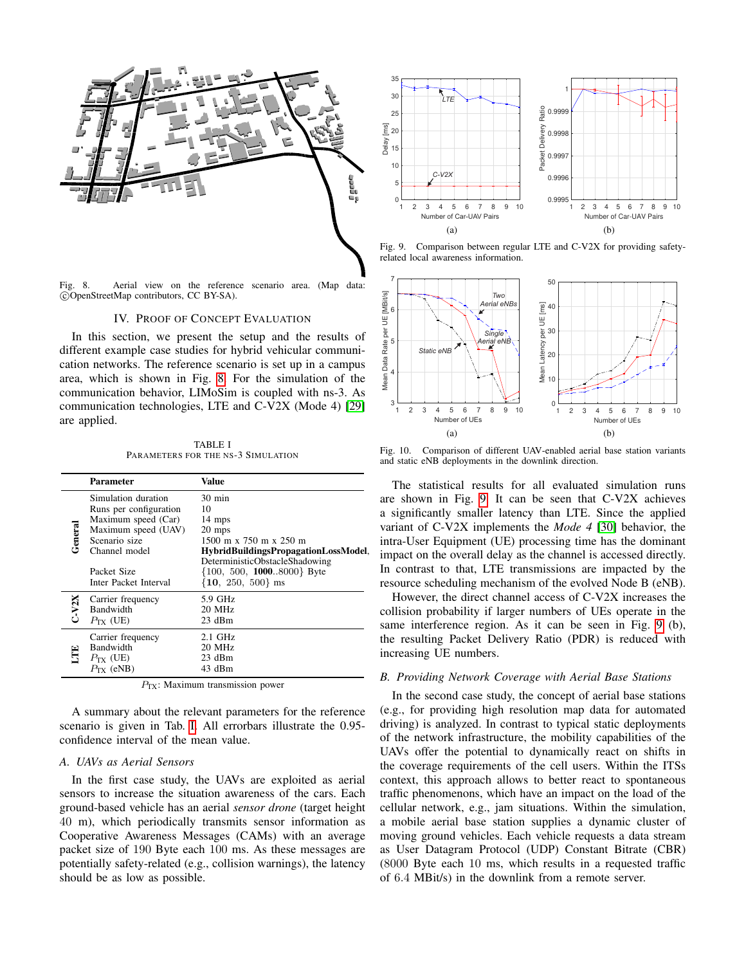

Fig. 8. Aerial view on the reference scenario area. (Map data: c OpenStreetMap contributors, CC BY-SA).

## <span id="page-4-1"></span>IV. PROOF OF CONCEPT EVALUATION

<span id="page-4-0"></span>In this section, we present the setup and the results of different example case studies for hybrid vehicular communication networks. The reference scenario is set up in a campus area, which is shown in Fig. [8.](#page-4-1) For the simulation of the communication behavior, LIMoSim is coupled with ns-3. As communication technologies, LTE and C-V2X (Mode 4) [\[29\]](#page-6-27) are applied.

TABLE I PARAMETERS FOR THE NS-3 SIMULATION

<span id="page-4-2"></span>

|         | <b>Parameter</b>       | Value                                |
|---------|------------------------|--------------------------------------|
| General | Simulation duration    | $30 \text{ min}$                     |
|         | Runs per configuration | 10                                   |
|         | Maximum speed (Car)    | 14 mps                               |
|         | Maximum speed (UAV)    | 20 mps                               |
|         | Scenario size          | 1500 m x 750 m x 250 m               |
|         | Channel model          | HybridBuildingsPropagationLossModel, |
|         |                        | DeterministicObstacleShadowing       |
|         | Packet Size            | $\{100, 500, 10008000\}$ Byte        |
|         | Inter Packet Interval  | $\{10, 250, 500\}$ ms                |
|         | Carrier frequency      | 5.9 GHz                              |
| $C-V2X$ | <b>Bandwidth</b>       | $20$ MHz                             |
|         | $P_{\text{TX}}$ (UE)   | 23 dBm                               |
| Ĕ       | Carrier frequency      | $2.1$ GHz                            |
|         | <b>Bandwidth</b>       | 20 MHz                               |
|         | $P_{\text{TX}}$ (UE)   | $23$ dBm                             |
|         | $P_{\text{TX}}$ (eNB)  | 43 dBm                               |

 $P_{\text{TX}}$ : Maximum transmission power

A summary about the relevant parameters for the reference scenario is given in Tab. [I.](#page-4-2) All errorbars illustrate the 0.95 confidence interval of the mean value.

# *A. UAVs as Aerial Sensors*

In the first case study, the UAVs are exploited as aerial sensors to increase the situation awareness of the cars. Each ground-based vehicle has an aerial *sensor drone* (target height 40 m), which periodically transmits sensor information as Cooperative Awareness Messages (CAMs) with an average packet size of 190 Byte each 100 ms. As these messages are potentially safety-related (e.g., collision warnings), the latency should be as low as possible.



<span id="page-4-3"></span>Fig. 9. Comparison between regular LTE and C-V2X for providing safetyrelated local awareness information.



<span id="page-4-4"></span>Fig. 10. Comparison of different UAV-enabled aerial base station variants and static eNB deployments in the downlink direction.

The statistical results for all evaluated simulation runs are shown in Fig. [9.](#page-4-3) It can be seen that C-V2X achieves a significantly smaller latency than LTE. Since the applied variant of C-V2X implements the *Mode 4* [\[30\]](#page-6-28) behavior, the intra-User Equipment (UE) processing time has the dominant impact on the overall delay as the channel is accessed directly. In contrast to that, LTE transmissions are impacted by the resource scheduling mechanism of the evolved Node B (eNB).

However, the direct channel access of C-V2X increases the collision probability if larger numbers of UEs operate in the same interference region. As it can be seen in Fig. [9](#page-4-3) (b), the resulting Packet Delivery Ratio (PDR) is reduced with increasing UE numbers.

# *B. Providing Network Coverage with Aerial Base Stations*

In the second case study, the concept of aerial base stations (e.g., for providing high resolution map data for automated driving) is analyzed. In contrast to typical static deployments of the network infrastructure, the mobility capabilities of the UAVs offer the potential to dynamically react on shifts in the coverage requirements of the cell users. Within the ITSs context, this approach allows to better react to spontaneous traffic phenomenons, which have an impact on the load of the cellular network, e.g., jam situations. Within the simulation, a mobile aerial base station supplies a dynamic cluster of moving ground vehicles. Each vehicle requests a data stream as User Datagram Protocol (UDP) Constant Bitrate (CBR) (8000 Byte each 10 ms, which results in a requested traffic of 6.4 MBit/s) in the downlink from a remote server.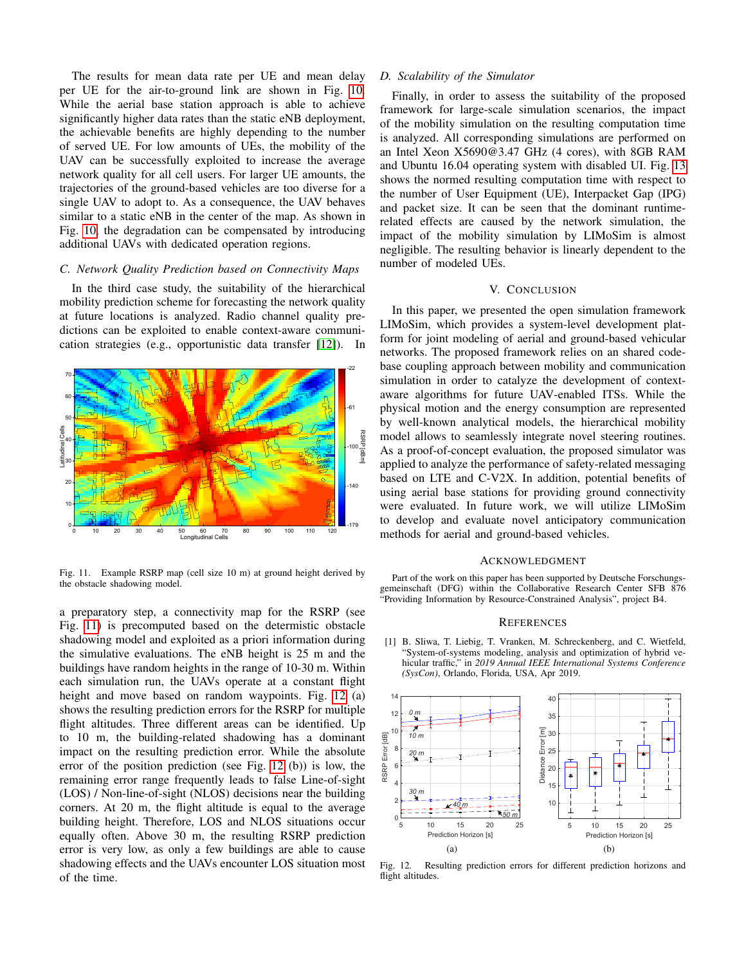The results for mean data rate per UE and mean delay per UE for the air-to-ground link are shown in Fig. [10.](#page-4-4) While the aerial base station approach is able to achieve significantly higher data rates than the static eNB deployment, the achievable benefits are highly depending to the number of served UE. For low amounts of UEs, the mobility of the UAV can be successfully exploited to increase the average network quality for all cell users. For larger UE amounts, the trajectories of the ground-based vehicles are too diverse for a single UAV to adopt to. As a consequence, the UAV behaves similar to a static eNB in the center of the map. As shown in Fig. [10,](#page-4-4) the degradation can be compensated by introducing additional UAVs with dedicated operation regions.

# *C. Network Quality Prediction based on Connectivity Maps*

In the third case study, the suitability of the hierarchical mobility prediction scheme for forecasting the network quality at future locations is analyzed. Radio channel quality predictions can be exploited to enable context-aware communication strategies (e.g., opportunistic data transfer [\[12\]](#page-6-10)). In



<span id="page-5-1"></span>Fig. 11. Example RSRP map (cell size 10 m) at ground height derived by the obstacle shadowing model.

a preparatory step, a connectivity map for the RSRP (see Fig. [11\)](#page-5-1) is precomputed based on the determistic obstacle shadowing model and exploited as a priori information during the simulative evaluations. The eNB height is 25 m and the buildings have random heights in the range of 10-30 m. Within each simulation run, the UAVs operate at a constant flight height and move based on random waypoints. Fig. [12](#page-5-2) (a) shows the resulting prediction errors for the RSRP for multiple flight altitudes. Three different areas can be identified. Up to 10 m, the building-related shadowing has a dominant impact on the resulting prediction error. While the absolute error of the position prediction (see Fig. [12](#page-5-2) (b)) is low, the remaining error range frequently leads to false Line-of-sight (LOS) / Non-line-of-sight (NLOS) decisions near the building corners. At 20 m, the flight altitude is equal to the average building height. Therefore, LOS and NLOS situations occur equally often. Above 30 m, the resulting RSRP prediction error is very low, as only a few buildings are able to cause shadowing effects and the UAVs encounter LOS situation most of the time.

### *D. Scalability of the Simulator*

Finally, in order to assess the suitability of the proposed framework for large-scale simulation scenarios, the impact of the mobility simulation on the resulting computation time is analyzed. All corresponding simulations are performed on an Intel Xeon X5690@3.47 GHz (4 cores), with 8GB RAM and Ubuntu 16.04 operating system with disabled UI. Fig. [13](#page-6-29) shows the normed resulting computation time with respect to the number of User Equipment (UE), Interpacket Gap (IPG) and packet size. It can be seen that the dominant runtimerelated effects are caused by the network simulation, the impact of the mobility simulation by LIMoSim is almost negligible. The resulting behavior is linearly dependent to the number of modeled UEs.

# V. CONCLUSION

In this paper, we presented the open simulation framework LIMoSim, which provides a system-level development platform for joint modeling of aerial and ground-based vehicular networks. The proposed framework relies on an shared codebase coupling approach between mobility and communication simulation in order to catalyze the development of contextaware algorithms for future UAV-enabled ITSs. While the physical motion and the energy consumption are represented by well-known analytical models, the hierarchical mobility model allows to seamlessly integrate novel steering routines. As a proof-of-concept evaluation, the proposed simulator was applied to analyze the performance of safety-related messaging based on LTE and C-V2X. In addition, potential benefits of using aerial base stations for providing ground connectivity were evaluated. In future work, we will utilize LIMoSim to develop and evaluate novel anticipatory communication methods for aerial and ground-based vehicles.

#### ACKNOWLEDGMENT

Part of the work on this paper has been supported by Deutsche Forschungsgemeinschaft (DFG) within the Collaborative Research Center SFB 876 "Providing Information by Resource-Constrained Analysis", project B4.

#### **REFERENCES**

<span id="page-5-0"></span>[1] B. Sliwa, T. Liebig, T. Vranken, M. Schreckenberg, and C. Wietfeld, "System-of-systems modeling, analysis and optimization of hybrid vehicular traffic," in *2019 Annual IEEE International Systems Conference (SysCon)*, Orlando, Florida, USA, Apr 2019.



<span id="page-5-2"></span>Fig. 12. Resulting prediction errors for different prediction horizons and flight altitudes.